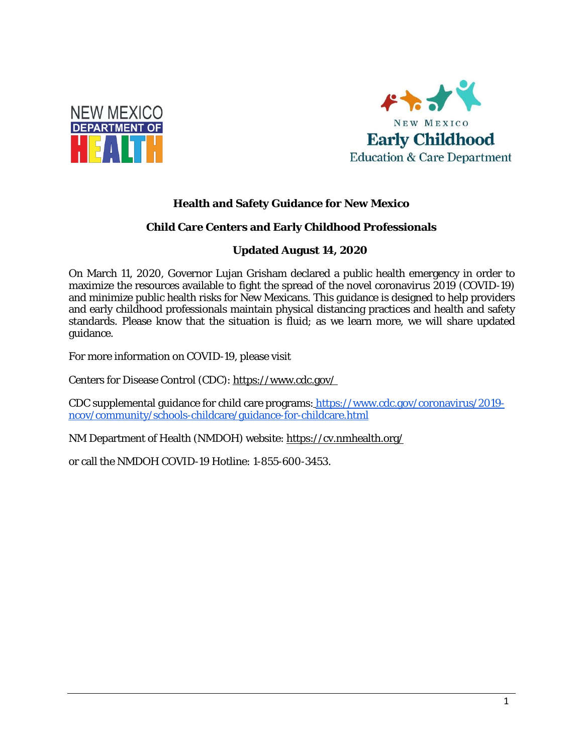



## **Health and Safety Guidance for New Mexico**

### **Child Care Centers and Early Childhood Professionals**

## **Updated August 14, 2020**

On March 11, 2020, Governor Lujan Grisham declared a public health emergency in order to maximize the resources available to fight the spread of the novel coronavirus 2019 (COVID-19) and minimize public health risks for New Mexicans. This guidance is designed to help providers and early childhood professionals maintain physical distancing practices and health and safety standards. Please know that the situation is fluid; as we learn more, we will share updated guidance.

For more information on COVID-19, please visit

Centers for Disease Control (CDC)[: https://www.cdc.gov/](https://www.cdc.gov/) 

CDC supplemental guidance for child care programs[: https://www.cdc.gov/coronavirus/2019](https://www.cdc.gov/coronavirus/2019-ncov/community/schools-childcare/guidance-for-childcare.html) [ncov/community/schools-childcare/guidance-for-childcare.html](https://www.cdc.gov/coronavirus/2019-ncov/community/schools-childcare/guidance-for-childcare.html)

NM Department of Health (NMDOH) website[: https://cv.nmhealth.org/](https://cv.nmhealth.org/)

or call the NMDOH COVID-19 Hotline: 1-855-600-3453.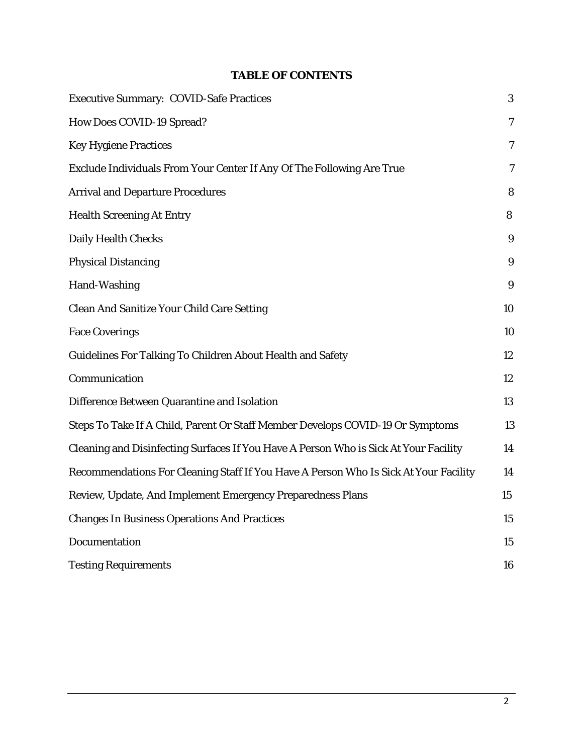## **TABLE OF CONTENTS**

| <b>Executive Summary: COVID-Safe Practices</b>                                       |                |
|--------------------------------------------------------------------------------------|----------------|
| <b>How Does COVID-19 Spread?</b>                                                     | 7              |
| <b>Key Hygiene Practices</b>                                                         | $\overline{7}$ |
| Exclude Individuals From Your Center If Any Of The Following Are True                | 7              |
| <b>Arrival and Departure Procedures</b>                                              | 8              |
| <b>Health Screening At Entry</b>                                                     | 8              |
| <b>Daily Health Checks</b>                                                           | 9              |
| <b>Physical Distancing</b>                                                           | 9              |
| Hand-Washing                                                                         | 9              |
| <b>Clean And Sanitize Your Child Care Setting</b>                                    | 10             |
| <b>Face Coverings</b>                                                                | 10             |
| <b>Guidelines For Talking To Children About Health and Safety</b>                    | 12             |
| Communication                                                                        | 12             |
| Difference Between Quarantine and Isolation                                          | 13             |
| Steps To Take If A Child, Parent Or Staff Member Develops COVID-19 Or Symptoms       | 13             |
| Cleaning and Disinfecting Surfaces If You Have A Person Who is Sick At Your Facility | 14             |
| Recommendations For Cleaning Staff If You Have A Person Who Is Sick At Your Facility | 14             |
| Review, Update, And Implement Emergency Preparedness Plans                           | 15             |
| <b>Changes In Business Operations And Practices</b>                                  | 15             |
| Documentation                                                                        | 15             |
| <b>Testing Requirements</b>                                                          | 16             |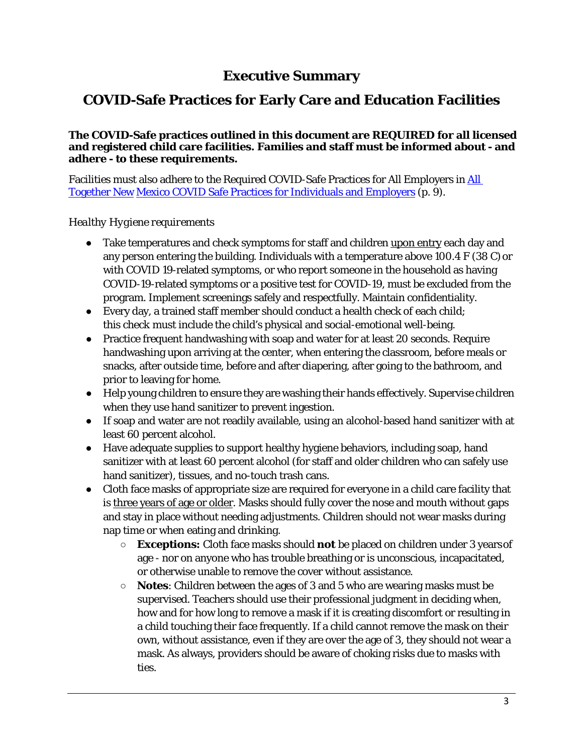# **Executive Summary**

# **COVID-Safe Practices for Early Care and Education Facilities**

#### **The COVID-Safe practices outlined in this document are REQUIRED for all licensed and registered child care facilities. Families and staff must be informed about - and adhere - to these requirements.**

Facilities must also adhere to the Required COVID-Safe Practices for All Employers in [All](https://indd.adobe.com/view/3f732e94-0164-424d-9ac6-a0ace27e70c8)  [Together New](https://indd.adobe.com/view/3f732e94-0164-424d-9ac6-a0ace27e70c8) [Mexico COVID Safe Practices for Individuals and Employers](https://indd.adobe.com/view/3f732e94-0164-424d-9ac6-a0ace27e70c8) (p. 9).

### *Healthy Hygiene requirements*

- Take temperatures and check symptoms for staff and children upon entry each day and any person entering the building. Individuals with a temperature above 100.4  $F$  (38 C) or with COVID 19-related symptoms, or who report someone in the household as having COVID-19-related symptoms or a positive test for COVID-19, must be excluded from the program. Implement screenings safely and respectfully. Maintain confidentiality.
- Every day, a trained staff member should conduct a health check of each child; this check must include the child's physical and social-emotional well-being.
- Practice frequent handwashing with soap and water for at least 20 seconds. Require handwashing upon arriving at the center, when entering the classroom, before meals or snacks, after outside time, before and after diapering, after going to the bathroom, and prior to leaving for home.
- Help young children to ensure they are washing their hands effectively. Supervise children when they use hand sanitizer to prevent ingestion.
- If soap and water are not readily available, using an alcohol-based hand sanitizer with at least 60 percent alcohol.
- Have adequate supplies to support healthy hygiene behaviors, including soap, hand sanitizer with at least 60 percent alcohol (for staff and older children who can safely use hand sanitizer), tissues, and no-touch trash cans.
- Cloth face masks of appropriate size are required for everyone in a child care facility that is three years of age or older. Masks should fully cover the nose and mouth without gaps and stay in place without needing adjustments. Children should not wear masks during nap time or when eating and drinking.
	- **Exceptions:** Cloth face masks should *not* be placed on children under 3 yearsof age - nor on anyone who has trouble breathing or is unconscious, incapacitated, or otherwise unable to remove the cover without assistance.
	- **Notes**: Children between the ages of 3 and 5 who are wearing masks must be supervised. Teachers should use their professional judgment in deciding when, how and for how long to remove a mask if it is creating discomfort or resulting in a child touching their face frequently. If a child cannot remove the mask on their own, without assistance, even if they are over the age of 3, they should not wear a mask. As always, providers should be aware of choking risks due to masks with ties.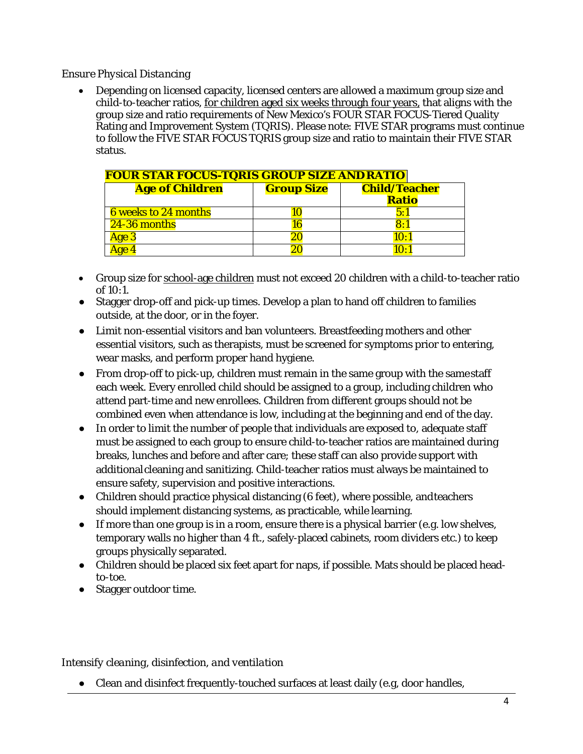### *Ensure Physical Distancing*

• Depending on licensed capacity, licensed centers are allowed a maximum group size and child-to-teacher ratios, for children aged six weeks through four years, that aligns with the group size and ratio requirements of New Mexico's FOUR STAR FOCUS-Tiered Quality Rating and Improvement System (TQRIS). Please note: FIVE STAR programs must continue to follow the FIVE STAR FOCUS TQRIS group size and ratio to maintain their FIVE STAR status.

| <b>FOUR STAR FOCUS-TQRIS GROUP SIZE AND RATIO</b> |                   |                      |  |
|---------------------------------------------------|-------------------|----------------------|--|
| <b>Age of Children</b>                            | <b>Group Size</b> | <b>Child/Teacher</b> |  |
|                                                   |                   | <b>Ratio</b>         |  |
| <b>6</b> weeks to 24 months                       |                   | 5:1                  |  |
| 24-36 months                                      | 16                | 8:1                  |  |
| Age 3                                             | 20                | 10:1                 |  |
| $00-4$                                            |                   | $1() \cdot 1$        |  |

- Group size for school-age children must not exceed 20 children with a child-to-teacher ratio of 10:1.
- Stagger drop-off and pick-up times. Develop a plan to hand off children to families outside, at the door, or in the foyer.
- Limit non-essential visitors and ban volunteers. Breastfeeding mothers and other essential visitors, such as therapists, must be screened for symptoms prior to entering, wear masks, and perform proper hand hygiene.
- From drop-off to pick-up, children must remain in the same group with the samestaff each week. Every enrolled child should be assigned to a group, including children who attend part-time and new enrollees. Children from different groups should not be combined even when attendance is low, including at the beginning and end of the day.
- In order to limit the number of people that individuals are exposed to, adequate staff must be assigned to each group to ensure child-to-teacher ratios are maintained during breaks, lunches and before and after care; these staff can also provide support with additionalcleaning and sanitizing. Child-teacher ratios must always be maintained to ensure safety, supervision and positive interactions.
- Children should practice physical distancing (6 feet), where possible, andteachers should implement distancing systems, as practicable, while learning.
- If more than one group is in a room, ensure there is a physical barrier (e.g. low shelves, temporary walls no higher than 4 ft., safely-placed cabinets, room dividers etc.) to keep groups physically separated.
- Children should be placed six feet apart for naps, if possible. Mats should be placed headto-toe.
- Stagger outdoor time.

## *Intensify cleaning, disinfection, and ventilation*

● Clean and disinfect frequently-touched surfaces at least daily (e.g, door handles,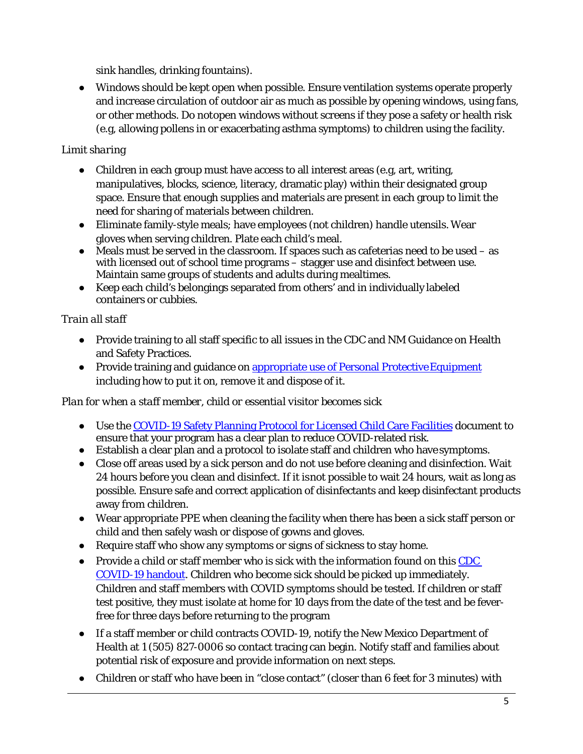sink handles, drinking fountains).

● Windows should be kept open when possible. Ensure ventilation systems operate properly and increase circulation of outdoor air as much as possible by opening windows, using fans, or other methods. Do notopen windows without screens if they pose a safety or health risk (e.g, allowing pollens in or exacerbating asthma symptoms) to children using the facility.

## *Limit sharing*

- Children in each group must have access to all interest areas (e.g, art, writing, manipulatives, blocks, science, literacy, dramatic play) within their designated group space. Ensure that enough supplies and materials are present in each group to limit the need for sharing of materials between children.
- Eliminate family-style meals; have employees (not children) handle utensils. Wear gloves when serving children. Plate each child's meal.
- $\bullet$  Meals must be served in the classroom. If spaces such as cafeterias need to be used as with licensed out of school time programs – stagger use and disinfect between use. Maintain same groups of students and adults during mealtimes.
- Keep each child's belongings separated from others' and in individually labeled containers or cubbies.

## *Train all staff*

- Provide training to all staff specific to all issues in the CDC and NM Guidance on Health and Safety Practices.
- Provide training and guidance on appropriate use of Personal Protective Equipment including how to put it on, remove it and dispose of it.

## *Plan for when a staff member, child or essential visitor becomes sick*

- Use the [COVID-19 Safety Planning Protocol for Licensed Child Care Facilities](https://www.newmexicokids.org/coronavirus/health.php) document to ensure that your program has a clear plan to reduce COVID-related risk.
- Establish a clear plan and a protocol to isolate staff and children who have symptoms.
- Close off areas used by a sick person and do not use before cleaning and disinfection. Wait 24 hours before you clean and disinfect. If it isnot possible to wait 24 hours, wait as long as possible. Ensure safe and correct application of disinfectants and keep disinfectant products away from children.
- Wear appropriate PPE when cleaning the facility when there has been a sick staff person or child and then safely wash or dispose of gowns and gloves.
- Require staff who show any symptoms or signs of sickness to stay home.
- Provide a child or staff member who is sick with the information found on this CDC [COVID-19 handout.](https://www.cdc.gov/coronavirus/2019-ncov/downloads/community/schools-childcare/COVID19-k-12-school-posters-stay-home-when-sick.pdf) Children who become sick should be picked up immediately. Children and staff members with COVID symptoms should be tested. If children or staff test positive, they must isolate at home for 10 days from the date of the test and be feverfree for three days before returning to the program
- If a staff member or child contracts COVID-19, notify the New Mexico Department of Health at 1 (505) 827-0006 so contact tracing can begin. Notify staff and families about potential risk of exposure and provide information on next steps.
- Children or staff who have been in "close contact" (closer than 6 feet for 3 minutes) with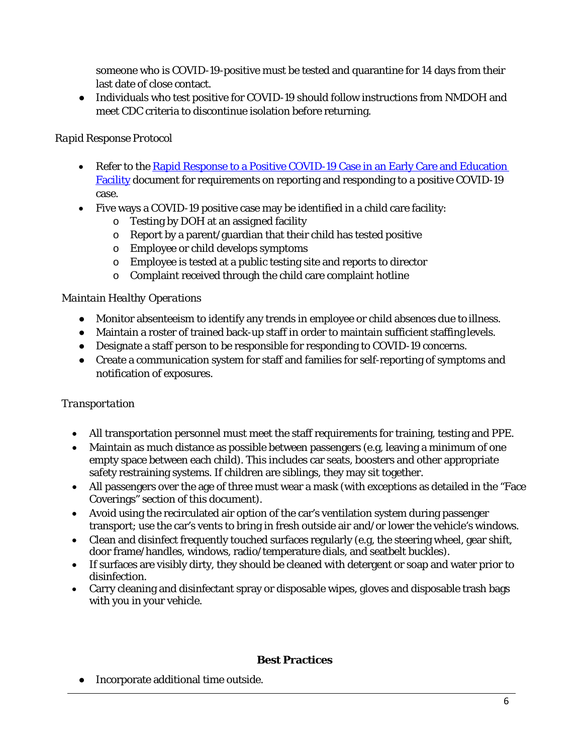someone who is COVID-19-positive must be tested and quarantine for 14 days from their last date of close contact.

• Individuals who test positive for COVID-19 should follow instructions from NMDOH and meet CDC criteria to discontinue isolation before returning.

## *Rapid Response Protocol*

- Refer to the Rapid Response to a Positive COVID-19 Case in an Early Care and Education [Facility](https://www.newmexicokids.org/coronavirus/health.php) document for requirements on reporting and responding to a positive COVID-19 case.
- Five ways a COVID-19 positive case may be identified in a child care facility:
	- o Testing by DOH at an assigned facility
	- o Report by a parent/guardian that their child has tested positive
	- o Employee or child develops symptoms
	- o Employee is tested at a public testing site and reports to director
	- o Complaint received through the child care complaint hotline

## *Maintain Healthy Operations*

- Monitor absenteeism to identify any trends in employee or child absences due to illness.
- Maintain a roster of trained back-up staff in order to maintain sufficient staffing levels.
- Designate a staff person to be responsible for responding to COVID-19 concerns.
- Create a communication system for staff and families for self-reporting of symptoms and notification of exposures.

## *Transportation*

- All transportation personnel must meet the staff requirements for training, testing and PPE.
- Maintain as much distance as possible between passengers (e.g, leaving a minimum of one empty space between each child). This includes car seats, boosters and other appropriate safety restraining systems. If children are siblings, they may sit together.
- All passengers over the age of three must wear a mask (with exceptions as detailed in the "Face Coverings" section of this document).
- Avoid using the recirculated air option of the car's ventilation system during passenger transport; use the car's vents to bring in fresh outside air and/or lower the vehicle's windows.
- [Clean and disinfect](https://www.cdc.gov/coronavirus/2019-ncov/prevent-getting-sick/disinfecting-your-home.html) frequently touched surfaces regularly (e.g, the steering wheel, gear shift, door frame/handles, windows, radio/temperature dials, and seatbelt buckles).
- If surfaces are visibly dirty, they should be cleaned with detergent or soap and water prior to disinfection.
- Carry cleaning and disinfectant spray or disposable wipes, gloves and disposable trash bags with you in your vehicle.

## **Best Practices**

● Incorporate additional time outside.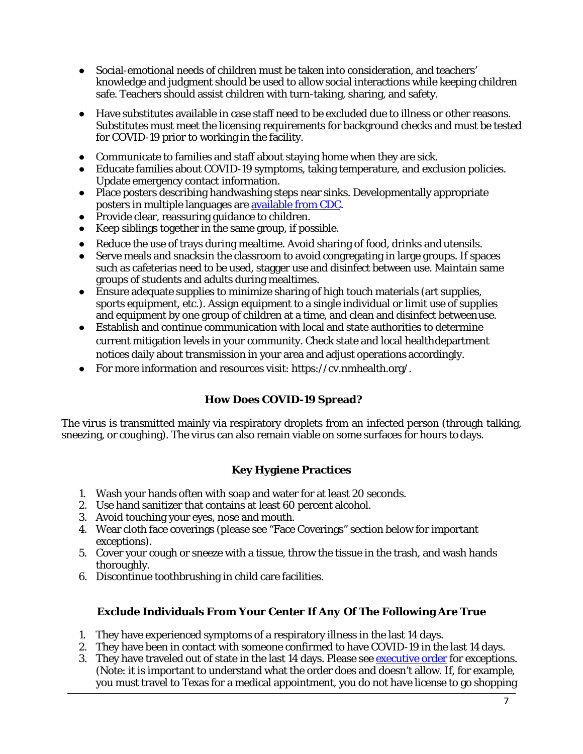- Social-emotional needs of children must be taken into consideration, and teachers' knowledge and judgment should be used to allow social interactions while keeping children safe. Teachers should assist children with turn-taking, sharing, and safety.
- Have substitutes available in case staff need to be excluded due to illness or other reasons. Substitutes must meet the licensing requirements for background checks and must be tested for COVID-19 prior to working in the facility.
- Communicate to families and staff about staying home when they are sick.
- Educate families about COVID-19 symptoms, taking temperature, and exclusion policies. Update emergency contact information.
- Place posters describing handwashing steps near sinks. Developmentally appropriate posters in multiple languages ar[e available from](https://www.cdc.gov/handwashing/posters.html) CDC.
- Provide clear, reassuring guidance to children.
- Keep siblings together in the same group, if possible.
- Reduce the use of trays during mealtime. Avoid sharing of food, drinks and utensils.
- Serve meals and snacksin the classroom to avoid congregating in large groups. If spaces such as cafeterias need to be used, stagger use and disinfect between use. Maintain same groups of students and adults during mealtimes.
- Ensure adequate supplies to minimize sharing of high touch materials (art supplies, sports equipment, etc.). Assign equipment to a single individual or limit use of supplies and equipment by one group of children at a time, and clean and disinfect betweenuse.
- Establish and continue communication with local and state authorities to determine current mitigation levels in your community. Check state and local healthdepartment notices daily about transmission in your area and adjust operations accordingly.
- For more information and resources visit: https://cv.nmhealth.org/.

## **How Does COVID-19 Spread?**

<span id="page-6-0"></span>The virus is transmitted mainly via respiratory droplets from an infected person (through talking, sneezing, or coughing). The virus can also remain viable on some surfaces for hours to days.

## **Key Hygiene Practices**

- <span id="page-6-1"></span>1. Wash your hands often with soap and water for at least 20 seconds.
- 2. Use hand sanitizer that contains at least 60 percent alcohol.
- 3. Avoid touching your eyes, nose and mouth.
- 4. Wear cloth face coverings (please see "Face Coverings" section below for important exceptions).
- 5. Cover your cough or sneeze with a tissue, throw the tissue in the trash, and wash hands thoroughly.
- <span id="page-6-2"></span>6. Discontinue toothbrushing in child care facilities.

## **Exclude Individuals From Your Center If** *Any* **Of The Following Are True**

- 1. They have experienced symptoms of a respiratory illness in the last 14 days.
- 2. They have been in contact with someone confirmed to have COVID-19 in the last 14 days.
- 3. They have traveled out of state in the last 14 days. Please see **executive order** for exceptions. (Note: it is important to understand what the order does and doesn't allow. If, for example, you must travel to Texas for a medical appointment, you do not have license to go shopping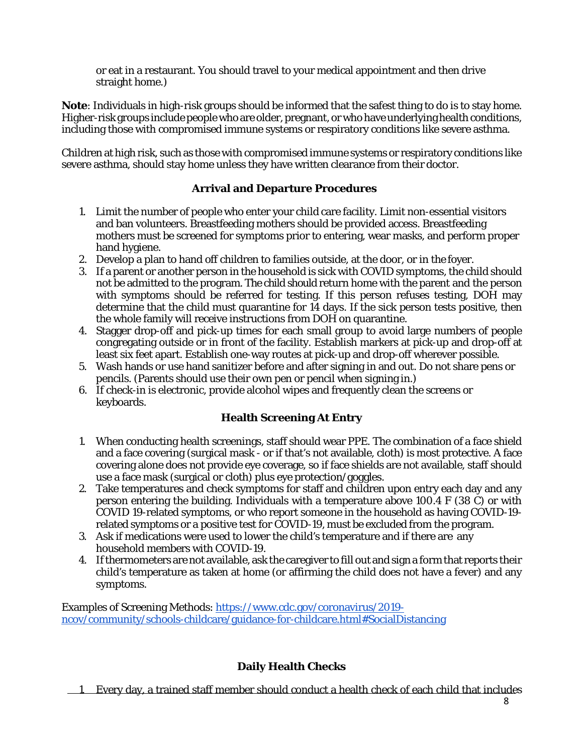or eat in a restaurant. You should travel to your medical appointment and then drive straight home.)

**Note**: Individuals in high-risk groups should be informed that the safest thing to do is to stay home. Higher-risk groups include people who are older, pregnant, or who have underlying health conditions, including those with compromised immune systems or respiratory conditions like severe asthma.

Children at high risk, such as those with compromised immune systems or respiratory conditions like severe asthma, should stay home unless they have written clearance from their doctor.

## **Arrival and Departure Procedures**

- <span id="page-7-0"></span>1. Limit the number of people who enter your child care facility. Limit non-essential visitors and ban volunteers. Breastfeeding mothers should be provided access. Breastfeeding mothers must be screened for symptoms prior to entering, wear masks, and perform proper hand hygiene.
- 2. Develop a plan to hand off children to families outside, at the door, or in the foyer.
- 3. If a parent or another person in the household is sick with COVID symptoms, the child should not be admitted to the program. The child should return home with the parent and the person with symptoms should be referred for testing. If this person refuses testing, DOH may determine that the child must quarantine for 14 days. If the sick person tests positive, then the whole family will receive instructions from DOH on quarantine.
- 4. Stagger drop-off and pick-up times for each small group to avoid large numbers of people congregating outside or in front of the facility. Establish markers at pick-up and drop-off at least six feet apart. Establish one-way routes at pick-up and drop-off wherever possible.
- 5. Wash hands or use hand sanitizer before and after signing in and out. Do not share pens or pencils. (Parents should use their own pen or pencil when signing in.)
- <span id="page-7-1"></span>6. If check-in is electronic, provide alcohol wipes and frequently clean the screens or keyboards.

## **Health Screening At Entry**

- 1. When conducting health screenings, staff should wear PPE. The combination of a face shield and a face covering (surgical mask - or if that's not available, cloth) is most protective. A face covering alone does not provide eye coverage, so if face shields are not available, staff should use a face mask (surgical or cloth) plus eye protection/goggles.
- 2. Take temperatures and check symptoms for staff and children upon entry each day and any person entering the building. Individuals with a temperature above 100.4 F (38 C) or with COVID 19-related symptoms, or who report someone in the household as having COVID-19 related symptoms or a positive test for COVID-19, must be excluded from the program.
- 3. Ask if medications were used to lower the child's temperature and if there are any household members with COVID-19.
- 4. Ifthermometers are not available, ask the caregiver to fill out and sign a form that reports their child's temperature as taken at home (or affirming the child does not have a fever) and any symptoms.

Examples of Screening Methods: [https://www.cdc.gov/coronavirus/2019](https://www.cdc.gov/coronavirus/2019-ncov/community/schools-childcare/guidance-for-childcare.html#SocialDistancing) [ncov/community/schools-childcare/guidance-for-childcare.html#SocialDistancing](https://www.cdc.gov/coronavirus/2019-ncov/community/schools-childcare/guidance-for-childcare.html#SocialDistancing)

## **Daily Health Checks**

<span id="page-7-2"></span>1. Every day, a trained staff member should conduct a health check of each child that includes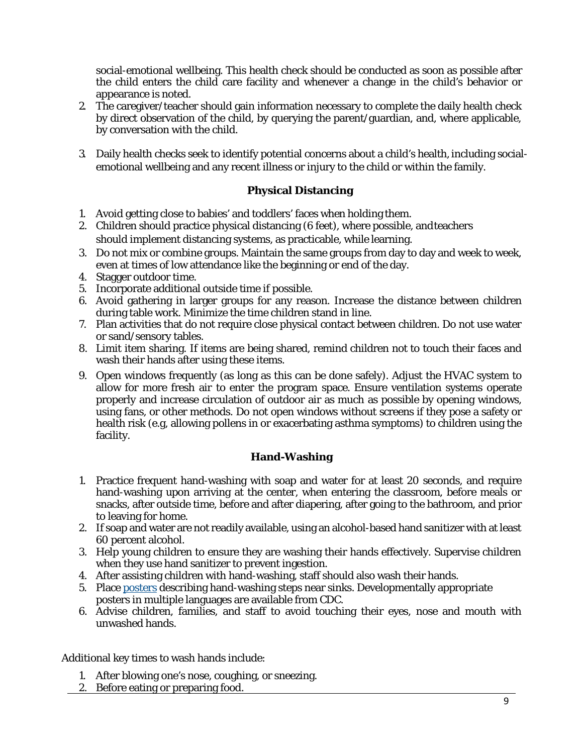social-emotional wellbeing. This health check should be conducted as soon as possible after the child enters the child care facility and whenever a change in the child's behavior or appearance is noted.

- 2. The caregiver/teacher should gain information necessary to complete the daily health check by direct observation of the child, by querying the parent/guardian, and, where applicable, by conversation with the child.
- 3. Daily health checks seek to identify potential concerns about a child's health, including socialemotional wellbeing and any recent illness or injury to the child or within the family.

## **Physical Distancing**

- <span id="page-8-0"></span>1. Avoid getting close to babies' and toddlers' faces when holding them.
- 2. Children should practice physical distancing (6 feet), where possible, andteachers should implement distancing systems, as practicable, while learning.
- 3. Do not mix or combine groups. Maintain the same groups from day to day and week to week, even at times of low attendance like the beginning or end of the day.
- 4. Stagger outdoor time.
- 5. Incorporate additional outside time if possible.
- 6. Avoid gathering in larger groups for any reason. Increase the distance between children during table work. Minimize the time children stand in line.
- 7. Plan activities that do not require close physical contact between children. Do not use water or sand/sensory tables.
- 8. Limit item sharing. If items are being shared, remind children not to touch their faces and wash their hands after using these items.
- 9. Open windows frequently (as long as this can be done safely). Adjust the HVAC system to allow for more fresh air to enter the program space. Ensure ventilation systems operate properly and increase circulation of outdoor air as much as possible by opening windows, using fans, or other methods. Do not open windows without screens if they pose a safety or health risk (e.g, allowing pollens in or exacerbating asthma symptoms) to children using the facility.

#### **Hand-Washing**

- <span id="page-8-1"></span>1. Practice frequent hand-washing with soap and water for at least 20 seconds, and require hand-washing upon arriving at the center, when entering the classroom, before meals or snacks, after outside time, before and after diapering, after going to the bathroom, and prior to leaving for home.
- 2. If soap and water are not readily available, using an alcohol-based hand sanitizer with at least 60 percent alcohol.
- 3. Help young children to ensure they are washing their hands effectively. Supervise children when they use hand sanitizer to prevent ingestion.
- 4. After assisting children with hand-washing, staff should also wash their hands.
- 5. Place [posters](https://www.cdc.gov/handwashing/posters.html) describing hand-washing steps near sinks. Developmentally appropriate posters in multiple languages are available from CDC.
- 6. Advise children, families, and staff to avoid touching their eyes, nose and mouth with unwashed hands.

Additional key times to wash hands include:

- 1. After blowing one's nose, coughing, or sneezing.
- 2. Before eating or preparing food.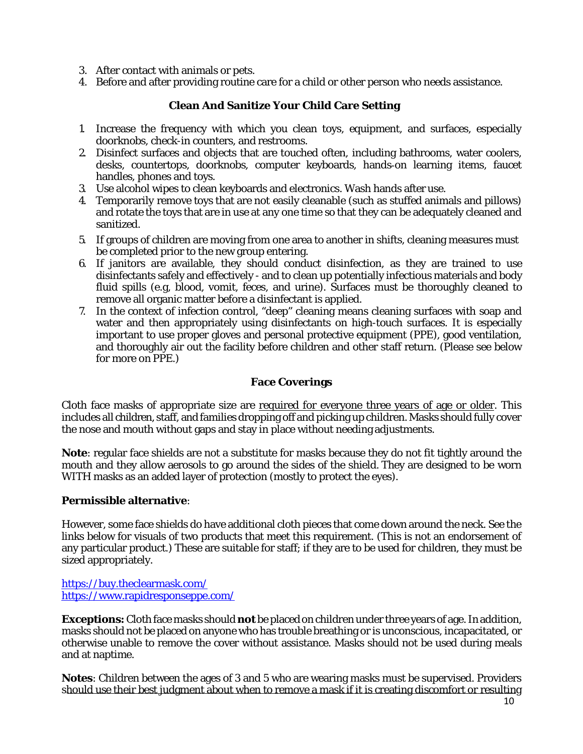- 3. After contact with animals or pets.
- <span id="page-9-0"></span>4. Before and after providing routine care for a child or other person who needs assistance.

### **Clean And Sanitize Your Child Care Setting**

- 1. Increase the frequency with which you clean toys, equipment, and surfaces, especially doorknobs, check-in counters, and restrooms.
- 2. Disinfect surfaces and objects that are touched often, including bathrooms, water coolers, desks, countertops, doorknobs, computer keyboards, hands‐on learning items, faucet handles, phones and toys.
- 3. Use alcohol wipes to clean keyboards and electronics. Wash hands after use.
- 4. Temporarily remove toys that are not easily cleanable (such as stuffed animals and pillows) and rotate the toys that are in use at any one time so that they can be adequately cleaned and sanitized.
- 5. If groups of children are moving from one area to another in shifts, cleaning measures must be completed prior to the new group entering.
- 6. If janitors are available, they should conduct disinfection, as they are trained to use disinfectants safely and effectively - and to clean up potentially infectious materials and body fluid spills (e.g, blood, vomit, feces, and urine). Surfaces must be thoroughly cleaned to remove all organic matter before a disinfectant is applied.
- 7. In the context of infection control, "deep" cleaning means cleaning surfaces with soap and water and then appropriately using disinfectants on high-touch surfaces. It is especially important to use proper gloves and personal protective equipment (PPE), good ventilation, and thoroughly air out the facility before children and other staff return. (Please see below for more on PPE.)

### **Face Coverings**

<span id="page-9-1"></span>Cloth face masks of appropriate size are required for everyone three years of age or older. This includes all children, staff, and families dropping off and picking up children. Masks should fully cover the nose and mouth without gaps and stay in place without needing adjustments.

**Note**: regular face shields are not a substitute for masks because they do not fit tightly around the mouth and they allow aerosols to go around the sides of the shield. They are designed to be worn WITH masks as an added layer of protection (mostly to protect the eyes).

#### **Permissible alternative**:

However, some face shields *do* have additional cloth pieces that come down around the neck. See the links below for visuals of two products that meet this requirement. (This is not an endorsement of any particular product.) These are suitable for staff; if they are to be used for children, they must be sized appropriately.

<https://buy.theclearmask.com/> <https://www.rapidresponseppe.com/>

**Exceptions:**Cloth face masks should *not* be placedon children under three years of age.Inaddition, masks should not be placed on anyone who has trouble breathing or is unconscious, incapacitated, or otherwise unable to remove the cover without assistance. Masks should not be used during meals and at naptime.

**Notes**: Children between the ages of 3 and 5 who are wearing masks must be supervised. Providers should use their best judgment about when to remove a mask if it is creating discomfort or resulting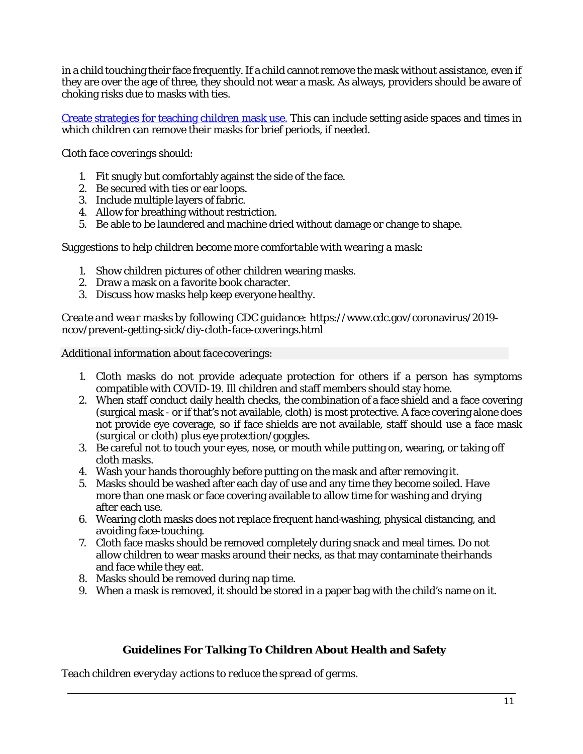in a child touching their face frequently. If a child cannot remove the mask without assistance, even if they are over the age of three, they should not wear a mask. As always, providers should be aware of choking risks due to masks with ties.

[Create strategies for teaching children mask use.](https://www.cdc.gov/coronavirus/2019-ncov/community/schools-childcare/cloth-face-cover.html) This can include setting aside spaces and times in which children can remove their masks for brief periods, if needed.

### *Cloth face coverings should:*

- 1. Fit snugly but comfortably against the side of the face.
- 2. Be secured with ties or ear loops.
- 3. Include multiple layers of fabric.
- 4. Allow for breathing without restriction.
- 5. Be able to be laundered and machine dried without damage or change to shape.

#### *Suggestions to help children become more comfortable with wearing a mask:*

- 1. Show children pictures of other children wearing masks.
- 2. Draw a mask on a favorite book character.
- 3. Discuss how masks help keep everyone healthy.

*Create and wear masks by following CDC guidance:* [https://www.cdc.gov/coronavirus/2019](https://www.cdc.gov/coronavirus/2019-ncov/prevent-getting-sick/diy-cloth-face-coverings.html) [ncov/prevent-getting-sick/diy-cloth-face-coverings.html](https://www.cdc.gov/coronavirus/2019-ncov/prevent-getting-sick/diy-cloth-face-coverings.html)

*Additional information about face coverings:*

- 1. Cloth masks do not provide adequate protection for others if a person has symptoms compatible with COVID-19. Ill children and staff members should stay home.
- 2. When staff conduct daily health checks, the combination of a face shield and a face covering (surgical mask - or if that's not available, cloth) is most protective. A face covering alone does not provide eye coverage, so if face shields are not available, staff should use a face mask (surgical or cloth) plus eye protection/goggles.
- 3. Be careful not to touch your eyes, nose, or mouth while putting on, wearing, or taking off cloth masks.
- 4. Wash your hands thoroughly before putting on the mask and after removing it.
- 5. Masks should be washed after each day of use and any time they become soiled. Have more than one mask or face covering available to allow time for washing and drying after each use.
- 6. Wearing cloth masks does not replace frequent hand-washing, physical distancing, and avoiding face-touching.
- 7. Cloth face masks should be removed completely during snack and meal times. Do not allow children to wear masks around their necks, as that may contaminate theirhands and face while they eat.
- 8. Masks should be removed during nap time.
- <span id="page-10-0"></span>9. When a mask is removed, it should be stored in a paper bag with the child's name on it.

#### **Guidelines For Talking To Children About Health and Safety**

*Teach children everyday actions to reduce the spread of germs.*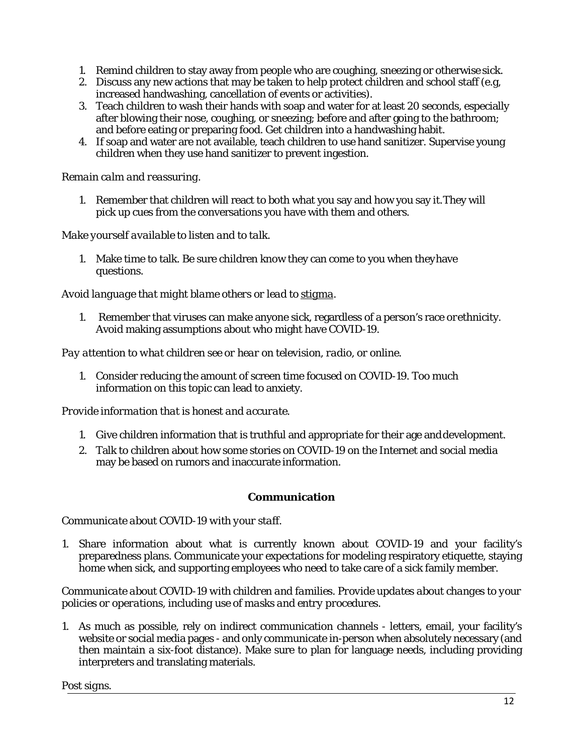- 1. Remind children to stay away from people who are coughing, sneezing or otherwise sick.
- 2. Discuss any new actions that may be taken to help protect children and school staff (e.g, increased handwashing, cancellation of events or activities).
- 3. Teach children to wash their hands with soap and water for at least 20 seconds, especially after blowing their nose, coughing, or sneezing; before and after going to the bathroom; and before eating or preparing food. Get children into a handwashing habit.
- 4. If soap and water are not available, teach children to use hand sanitizer. Supervise young children when they use hand sanitizer to prevent ingestion.

#### *Remain calm and reassuring.*

1. Remember that children will react to both what you say and how you say it.They will pick up cues from the conversations you have with them and others.

*Make yourself available to listen and to talk.*

1. Make time to talk. Be sure children know they can come to you when theyhave questions.

### *Avoid language that might blame others or lead to [stigma.](https://www.cdc.gov/coronavirus/2019-ncov/daily-life-coping/reducing-stigma.html)*

1. Remember that viruses can make anyone sick, regardless of a person's race orethnicity. Avoid making assumptions about who might have COVID-19.

### *Pay attention to what children see or hear on television, radio, or online.*

1. Consider reducing the amount of screen time focused on COVID-19. Too much information on this topic can lead to anxiety.

#### *Provide information that is honest and accurate.*

- 1. Give children information that is truthful and appropriate for their age anddevelopment.
- 2. Talk to children about how some stories on COVID-19 on the Internet and social media may be based on rumors and inaccurate information.

#### **Communication**

#### <span id="page-11-0"></span>*Communicate about COVID-19 with your staff.*

1. Share information about what is currently known about COVID-19 and your facility's preparedness plans. Communicate your expectations for modeling respiratory etiquette, staying home when sick, and supporting employees who need to take care of a sick family member.

*Communicate about COVID-19 with children and families. Provide updates about changes to your policies or operations, including use of masks and entry procedures.*

1. As much as possible, rely on indirect communication channels - letters, email, your facility's website or social media pages - and only communicate in-person when absolutely necessary (and then maintain a six-foot distance). Make sure to plan for language needs, including providing interpreters and translating materials.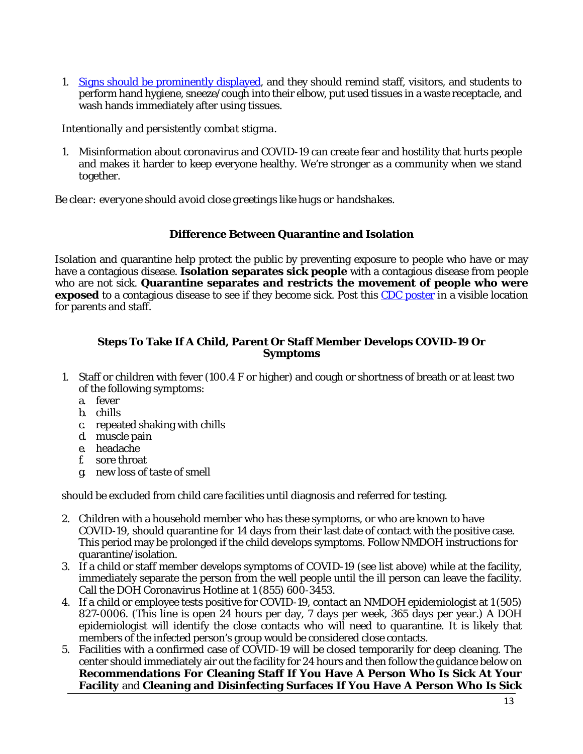1. [Signs should be prominently displayed,](https://www.cdc.gov/coronavirus/2019-ncov/communication/print-resources.html?Sort=Date%3A%3Adesc&Page=3) and they should remind staff, visitors, and students to perform hand hygiene, sneeze/cough into their elbow, put used tissues in a waste receptacle, and wash hands immediately after using tissues.

*Intentionally and persistently combat stigma.*

1. Misinformation about coronavirus and COVID-19 can create fear and hostility that hurts people and makes it harder to keep everyone healthy. We're stronger as a community when we stand together.

*Be clear: everyone should avoid close greetings like hugs or handshakes.*

#### **Difference Between Quarantine and Isolation**

Isolation and quarantine help protect the public by preventing exposure to people who have or may have a contagious disease. **Isolation separates sick people** with a contagious disease from people who are not sick. **Quarantine separates and restricts the movement of people who were exposed** to a contagious disease to see if they become sick. Post this [CDC poster](https://www.cdc.gov/coronavirus/2019-ncov/downloads/COVID-19-Quarantine-vs-Isolation.pdf) in a visible location for parents and staff.

#### <span id="page-12-0"></span>**Steps To Take If A Child, Parent Or Staff Member Develops COVID-19 Or Symptoms**

- 1. Staff or children with fever (100.4 F or higher) and cough or shortness of breath or at least two of the following symptoms:
	- a. fever
	- b. chills
	- c. repeated shaking with chills
	- d. muscle pain
	- e. headache
	- f. sore throat
	- g. new loss of taste of smell

should be excluded from child care facilities until diagnosis and referred for testing.

- 2. Children with a household member who has these symptoms, or who are known to have COVID-19, should quarantine for 14 days from their last date of contact with the positive case. This period may be prolonged if the child develops symptoms. Follow NMDOH instructions for quarantine/isolation.
- 3. If a child or staff member develops symptoms of COVID-19 (see list above) while at the facility, immediately separate the person from the well people until the ill person can leave the facility. Call the DOH Coronavirus Hotline at 1 (855) 600-3453.
- 4. If a child or employee tests positive for COVID-19, contact an NMDOH epidemiologist at 1 (505) 827-0006. (This line is open 24 hours per day, 7 days per week, 365 days per year.) A DOH epidemiologist will identify the close contacts who will need to quarantine. It is likely that members of the infected person's group would be considered close contacts.
- 5. Facilities with a confirmed case of COVID-19 will be closed temporarily for deep cleaning. The center should immediately air out the facility for 24 hours and then follow the guidance below on **Recommendations For Cleaning Staff If You Have A Person Who Is Sick At Your Facility** and **Cleaning and Disinfecting Surfaces If You Have A Person Who Is Sick**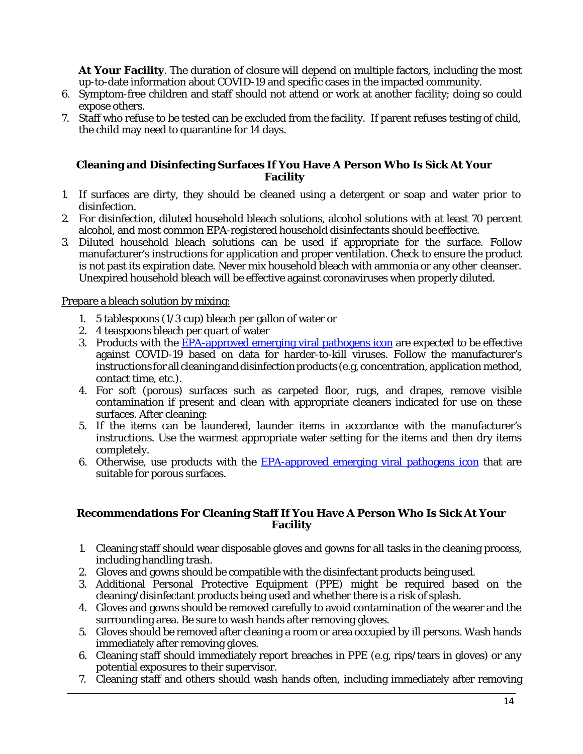**At Your Facility**. The duration of closure will depend on multiple factors, including the most up-to-date information about COVID-19 and specific cases in the impacted community.

- 6. Symptom-free children and staff should not attend or work at another facility; doing so could expose others.
- 7. Staff who refuse to be tested can be excluded from the facility. If parent refuses testing of child, the child may need to quarantine for 14 days.

#### <span id="page-13-0"></span>**Cleaning and Disinfecting Surfaces If You Have A Person Who Is Sick At Your Facility**

- 1. If surfaces are dirty, they should be cleaned using a detergent or soap and water prior to disinfection.
- 2. For disinfection, diluted household bleach solutions, alcohol solutions with at least 70 percent alcohol, and most common EPA-registered household disinfectants should be effective.
- 3. Diluted household bleach solutions can be used if appropriate for the surface. Follow manufacturer's instructions for application and proper ventilation. Check to ensure the product is not past its expiration date. Never mix household bleach with ammonia or any other cleanser. Unexpired household bleach will be effective against coronaviruses when properly diluted.

#### Prepare a bleach solution by mixing:

- 1. 5 tablespoons (1/3 cup) bleach per gallon of water or
- 2. 4 teaspoons bleach per quart of water
- 3. Products with the [EPA-approved emerging viral pathogens icon](https://www.epa.gov/pesticide-registration/list-n-disinfectants-use-against-sars-cov-2-covid-19) are expected to be effective against COVID-19 based on data for harder-to-kill viruses. Follow the manufacturer's instructions for all cleaning and disinfection products (e.g, concentration, application method, contact time, etc.).
- 4. For soft (porous) surfaces such as carpeted floor, rugs, and drapes, remove visible contamination if present and clean with appropriate cleaners indicated for use on these surfaces. After cleaning:
- 5. If the items can be laundered, launder items in accordance with the manufacturer's instructions. Use the warmest appropriate water setting for the items and then dry items completely.
- 6. Otherwise, use products with the  $EPA$ -approved emerging viral pathogens icon that are suitable for porous surfaces.

#### **Recommendations For Cleaning Staff If You Have A Person Who Is Sick At Your Facility**

- 1. Cleaning staff should wear disposable gloves and gowns for all tasks in the cleaning process, including handling trash.
- 2. Gloves and gowns should be compatible with the disinfectant products being used.
- 3. Additional Personal Protective Equipment (PPE) might be required based on the cleaning/disinfectant products being used and whether there is a risk of splash.
- 4. Gloves and gowns should be removed carefully to avoid contamination of the wearer and the surrounding area. Be sure to wash hands after removing gloves.
- 5. Gloves should be removed after cleaning a room or area occupied by ill persons. Wash hands immediately after removing gloves.
- 6. Cleaning staff should immediately report breaches in PPE (e.g, rips/tears in gloves) or any potential exposures to their supervisor.
- 7. Cleaning staff and others should wash hands often, including immediately after removing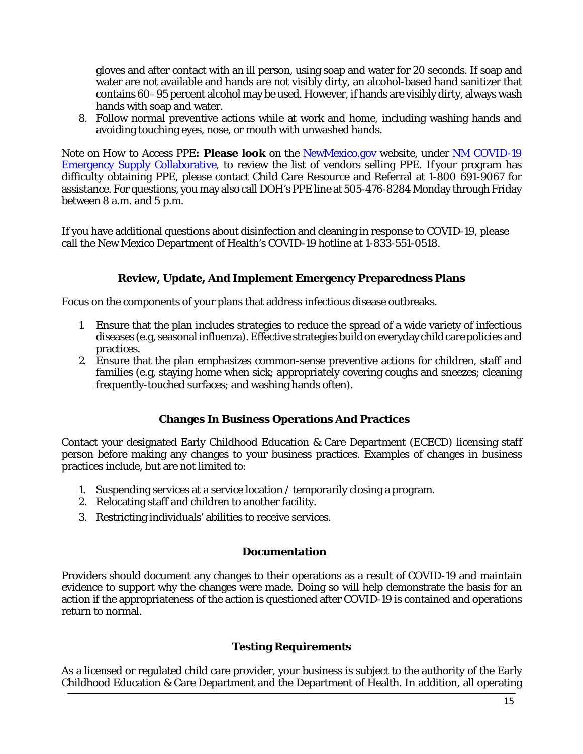gloves and after contact with an ill person, using soap and water for 20 seconds. If soap and water are not available and hands are not visibly dirty, an alcohol-based hand sanitizer that contains 60–95 percent alcohol may be used. However, if hands are visibly dirty, always wash hands with soap and water.

8. Follow normal preventive actions while at work and home, including washing hands and avoiding touching eyes, nose, or mouth with unwashed hands.

*Note on How to Access PPE***: Please look** on the [NewMexico.gov](https://www.newmexico.gov/) website, under [NM COVID-19](https://www.nmcovid19.org/) [Emergency Supply Collaborative,](https://www.nmcovid19.org/) to review the list of vendors selling PPE. If your program has difficulty obtaining PPE, please contact Child Care Resource and Referral at 1-800 691-9067 for assistance. For questions, you may also call DOH's PPE line at 505-476-8284 Monday through Friday between 8 a.m. and 5 p.m.

If you have additional questions about disinfection and cleaning in response to COVID-19, please call the New Mexico Department of Health's COVID-19 hotline at 1-833-551-0518.

## **Review, Update, And Implement Emergency Preparedness Plans**

<span id="page-14-0"></span>Focus on the components of your plans that address infectious disease outbreaks.

- 1. Ensure that the plan includes strategies to reduce the spread of a wide variety of infectious diseases (e.g, seasonal influenza). Effective strategies build on everyday child care policies and practices.
- 2. Ensure that the plan emphasizes common-sense preventive actions for children, staff and families (e.g, staying home when sick; appropriately covering coughs and sneezes; cleaning frequently-touched surfaces; and washing hands often).

#### **Changes In Business Operations And Practices**

<span id="page-14-1"></span>Contact your designated Early Childhood Education & Care Department (ECECD) licensing staff person before making any changes to your business practices. Examples of changes in business practices include, but are not limited to:

- 1. Suspending services at a service location / temporarily closing a program.
- 2. Relocating staff and children to another facility.
- <span id="page-14-2"></span>3. Restricting individuals' abilities to receive services.

#### **Documentation**

Providers should document any changes to their operations as a result of COVID-19 and maintain evidence to support why the changes were made. Doing so will help demonstrate the basis for an action if the appropriateness of the action is questioned after COVID-19 is contained and operations return to normal.

#### **Testing Requirements**

As a licensed or regulated child care provider, your business is subject to the authority of the Early Childhood Education & Care Department and the Department of Health. In addition, all operating